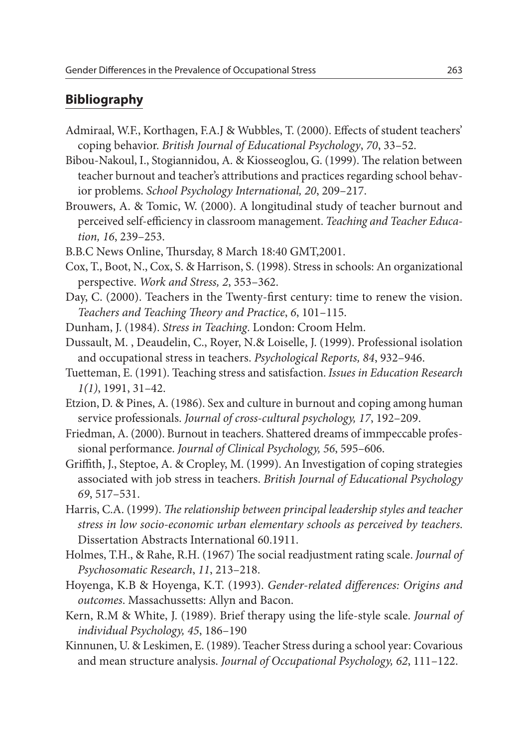## **Bibliography**

- Admiraal, W.F., Korthagen, F.A.J & Wubbles, T. (2000). Effects of student teachers' coping behavior. *British Journal of Educational Psychology*, *70*, 33–52.
- Bibou-Nakoul, I., Stogiannidou, A. & Kiosseoglou, G. (1999). The relation between teacher burnout and teacher's attributions and practices regarding school behavior problems. *School Psychology International, 20*, 209–217.
- Brouwers, A. & Tomic, W. (2000). A longitudinal study of teacher burnout and perceived self-efficiency in classroom management. *Teaching and Teacher Education, 16*, 239–253.
- B.B.C News Online, Thursday, 8 March 18:40 GMT,2001.
- Cox, T., Boot, N., Cox, S. & Harrison, S. (1998). Stress in schools: An organizational perspective. *Work and Stress, 2*, 353–362.
- Day, C. (2000). Teachers in the Twenty-first century: time to renew the vision. *Teachers and Teaching Theory and Practice*, *6*, 101–115.
- Dunham, J. (1984). *Stress in Teaching*. London: Croom Helm.
- Dussault, M. , Deaudelin, C., Royer, N.& Loiselle, J. (1999). Professional isolation and occupational stress in teachers. *Psychological Reports, 84*, 932–946.
- Tuetteman, E. (1991). Teaching stress and satisfaction. *Issues in Education Research 1(1)*, 1991, 31–42.
- Etzion, D. & Pines, A. (1986). Sex and culture in burnout and coping among human service professionals. *Journal of cross-cultural psychology, 17*, 192–209.
- Friedman, A. (2000). Burnout in teachers. Shattered dreams of immpeccable professional performance. *Journal of Clinical Psychology, 56*, 595–606.
- Griffith, J., Steptoe, A. & Cropley, M. (1999). An Investigation of coping strategies associated with job stress in teachers. *British Journal of Educational Psychology 69*, 517–531.
- Harris, C.A. (1999). *The relationship between principal leadership styles and teacher stress in low socio-economic urban elementary schools as perceived by teachers*. Dissertation Abstracts International 60.1911.
- Holmes, T.H., & Rahe, R.H. (1967) The social readjustment rating scale. *Journal of Psychosomatic Research*, *11*, 213–218.
- Hoyenga, K.B & Hoyenga, K.T. (1993). *Gender-related differences: Origins and outcomes*. Massachussetts: Allyn and Bacon.
- Kern, R.M & White, J. (1989). Brief therapy using the life-style scale. *Journal of individual Psychology, 45*, 186–190
- Kinnunen, U. & Leskimen, E. (1989). Teacher Stress during a school year: Covarious and mean structure analysis. *Journal of Occupational Psychology, 62*, 111–122.